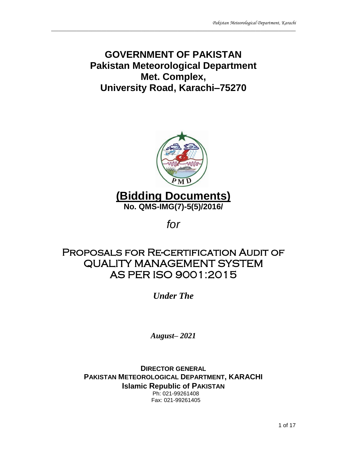# **GOVERNMENT OF PAKISTAN Pakistan Meteorological Department Met. Complex, University Road, Karachi–75270**

 $\_$  ,  $\_$  ,  $\_$  ,  $\_$  ,  $\_$  ,  $\_$  ,  $\_$  ,  $\_$  ,  $\_$  ,  $\_$  ,  $\_$  ,  $\_$  ,  $\_$  ,  $\_$  ,  $\_$  ,  $\_$  ,  $\_$  ,  $\_$  ,  $\_$  ,  $\_$  ,  $\_$  ,  $\_$  ,  $\_$  ,  $\_$  ,  $\_$  ,  $\_$  ,  $\_$  ,  $\_$  ,  $\_$  ,  $\_$  ,  $\_$  ,  $\_$  ,  $\_$  ,  $\_$  ,  $\_$  ,  $\_$  ,  $\_$  ,



*for* 

# Proposals for Re-certification Audit of QUALITY MANAGEMENT SYSTEM AS PER ISO 9001:2015

*Under The* 

*August– 2021*

**DIRECTOR GENERAL PAKISTAN METEOROLOGICAL DEPARTMENT, KARACHI Islamic Republic of PAKISTAN** Ph: 021-99261408

Fax: 021-99261405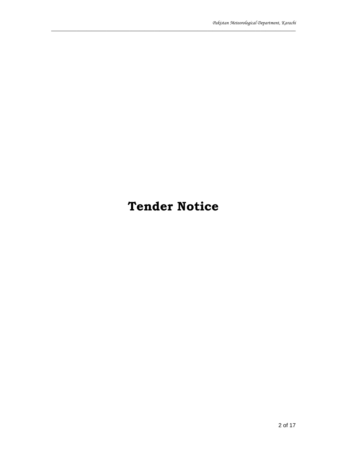# **Tender Notice**

 $\_$  ,  $\_$  ,  $\_$  ,  $\_$  ,  $\_$  ,  $\_$  ,  $\_$  ,  $\_$  ,  $\_$  ,  $\_$  ,  $\_$  ,  $\_$  ,  $\_$  ,  $\_$  ,  $\_$  ,  $\_$  ,  $\_$  ,  $\_$  ,  $\_$  ,  $\_$  ,  $\_$  ,  $\_$  ,  $\_$  ,  $\_$  ,  $\_$  ,  $\_$  ,  $\_$  ,  $\_$  ,  $\_$  ,  $\_$  ,  $\_$  ,  $\_$  ,  $\_$  ,  $\_$  ,  $\_$  ,  $\_$  ,  $\_$  ,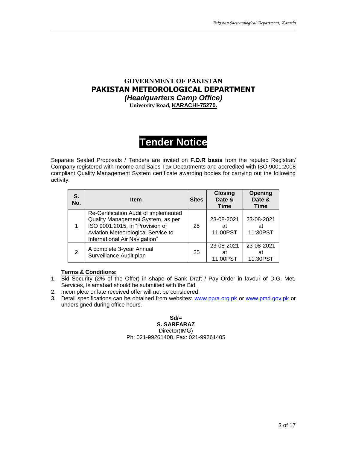### **GOVERNMENT OF PAKISTAN PAKISTAN METEOROLOGICAL DEPARTMENT** *(Headquarters Camp Office)* **University Road, KARACHI-75270.**

 $\_$  ,  $\_$  ,  $\_$  ,  $\_$  ,  $\_$  ,  $\_$  ,  $\_$  ,  $\_$  ,  $\_$  ,  $\_$  ,  $\_$  ,  $\_$  ,  $\_$  ,  $\_$  ,  $\_$  ,  $\_$  ,  $\_$  ,  $\_$  ,  $\_$  ,  $\_$  ,  $\_$  ,  $\_$  ,  $\_$  ,  $\_$  ,  $\_$  ,  $\_$  ,  $\_$  ,  $\_$  ,  $\_$  ,  $\_$  ,  $\_$  ,  $\_$  ,  $\_$  ,  $\_$  ,  $\_$  ,  $\_$  ,  $\_$  ,

# **Tender Notice**

Separate Sealed Proposals / Tenders are invited on **F.O.R basis** from the reputed Registrar/ Company registered with Income and Sales Tax Departments and accredited with ISO 9001:2008 compliant Quality Management System certificate awarding bodies for carrying out the following activity:

| S.<br>No. | <b>Item</b>                                                                                                                                                                          | <b>Sites</b> | <b>Closing</b><br>Date &<br><b>Time</b> | Opening<br>Date &<br>Time    |
|-----------|--------------------------------------------------------------------------------------------------------------------------------------------------------------------------------------|--------------|-----------------------------------------|------------------------------|
|           | Re-Certification Audit of implemented<br>Quality Management System, as per<br>ISO 9001:2015, in "Provision of<br>Aviation Meteorological Service to<br>International Air Navigation" | 25           | 23-08-2021<br>at<br>11:00PST            | 23-08-2021<br>at<br>11:30PST |
| 2         | A complete 3-year Annual<br>Surveillance Audit plan                                                                                                                                  | 25           | 23-08-2021<br>at<br>11:00PST            | 23-08-2021<br>at<br>11:30PST |

#### **Terms & Conditions:**

- 1. Bid Security (2% of the Offer) in shape of Bank Draft / Pay Order in favour of D.G. Met. Services, Islamabad should be submitted with the Bid.
- 2. Incomplete or late received offer will not be considered.
- 3. Detail specifications can be obtained from websites: [www.ppra.org.pk](http://www.ppra.org.pk/) or [www.pmd.gov.pk](http://www.pmd.gov.pk/) or undersigned during office hours.

#### **Sd/= S. SARFARAZ**

Director(IMG) Ph: 021-99261408, Fax: 021-99261405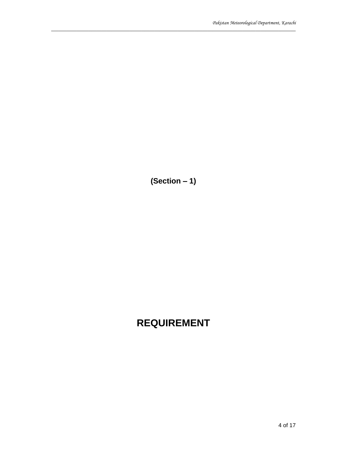**(Section – 1)** 

 $\_$  ,  $\_$  ,  $\_$  ,  $\_$  ,  $\_$  ,  $\_$  ,  $\_$  ,  $\_$  ,  $\_$  ,  $\_$  ,  $\_$  ,  $\_$  ,  $\_$  ,  $\_$  ,  $\_$  ,  $\_$  ,  $\_$  ,  $\_$  ,  $\_$  ,  $\_$  ,  $\_$  ,  $\_$  ,  $\_$  ,  $\_$  ,  $\_$  ,  $\_$  ,  $\_$  ,  $\_$  ,  $\_$  ,  $\_$  ,  $\_$  ,  $\_$  ,  $\_$  ,  $\_$  ,  $\_$  ,  $\_$  ,  $\_$  ,

# **REQUIREMENT**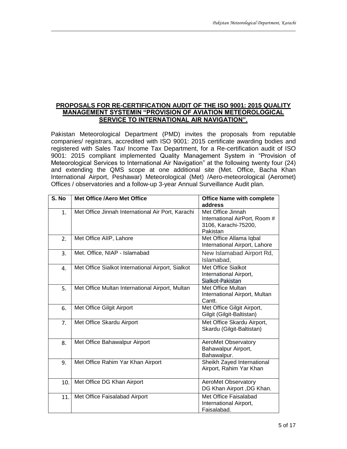#### **PROPOSALS FOR RE-CERTIFICATION AUDIT OF THE ISO 9001: 2015 QUALITY MANAGEMENT SYSTEMIN "PROVISION OF AVIATION METEOROLOGICAL SERVICE TO INTERNATIONAL AIR NAVIGATION".**

 $\_$  ,  $\_$  ,  $\_$  ,  $\_$  ,  $\_$  ,  $\_$  ,  $\_$  ,  $\_$  ,  $\_$  ,  $\_$  ,  $\_$  ,  $\_$  ,  $\_$  ,  $\_$  ,  $\_$  ,  $\_$  ,  $\_$  ,  $\_$  ,  $\_$  ,  $\_$  ,  $\_$  ,  $\_$  ,  $\_$  ,  $\_$  ,  $\_$  ,  $\_$  ,  $\_$  ,  $\_$  ,  $\_$  ,  $\_$  ,  $\_$  ,  $\_$  ,  $\_$  ,  $\_$  ,  $\_$  ,  $\_$  ,  $\_$  ,

Pakistan Meteorological Department (PMD) invites the proposals from reputable companies/ registrars, accredited with ISO 9001: 2015 certificate awarding bodies and registered with Sales Tax/ Income Tax Department, for a Re-certification audit of ISO 9001: 2015 compliant implemented Quality Management System in "Provision of Meteorological Services to International Air Navigation" at the following twenty four (24) and extending the QMS scope at one additional site (Met. Office, Bacha Khan International Airport, Peshawar) Meteorological (Met) /Aero-meteorological (Aeromet) Offices / observatories and a follow-up 3-year Annual Surveillance Audit plan.

| S. No          | <b>Met Office /Aero Met Office</b>                | <b>Office Name with complete</b><br>address                                            |
|----------------|---------------------------------------------------|----------------------------------------------------------------------------------------|
| 1.             | Met Office Jinnah International Air Port, Karachi | Met Office Jinnah<br>International AirPort, Room #<br>3106, Karachi-75200,<br>Pakistan |
| 2.             | Met Office AIIP, Lahore                           | Met Office Allama Iqbal<br>International Airport, Lahore                               |
| 3.             | Met. Office, NIAP - Islamabad                     | New Islamabad Airport Rd,<br>Islamabad,                                                |
| 4.             | Met Office Sialkot International Airport, Sialkot | Met Office Sialkot<br>International Airport,<br>Sialkot-Pakistan                       |
| 5.             | Met Office Multan International Airport, Multan   | Met Office Multan<br>International Airport, Multan<br>Cantt.                           |
| 6.             | Met Office Gilgit Airport                         | Met Office Gilgit Airport,<br>Gilgit (Gilgit-Baltistan)                                |
| 7 <sub>1</sub> | Met Office Skardu Airport                         | Met Office Skardu Airport,<br>Skardu (Gilgit-Baltistan)                                |
| 8.             | Met Office Bahawalpur Airport                     | AeroMet Observatory<br>Bahawalpur Airport,<br>Bahawalpur.                              |
| 9.             | Met Office Rahim Yar Khan Airport                 | Sheikh Zayed International<br>Airport, Rahim Yar Khan                                  |
| 10.            | Met Office DG Khan Airport                        | AeroMet Observatory<br>DG Khan Airport , DG Khan.                                      |
| 11.            | Met Office Faisalabad Airport                     | Met Office Faisalabad<br>International Airport,<br>Faisalabad.                         |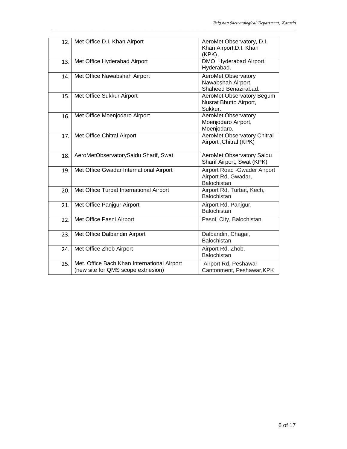| 12. | Met Office D.I. Khan Airport                                                      | AeroMet Observatory, D.I.<br>Khan Airport, D.I. Khan<br>(KPK).           |
|-----|-----------------------------------------------------------------------------------|--------------------------------------------------------------------------|
| 13. | Met Office Hyderabad Airport                                                      | DMO Hyderabad Airport,<br>Hyderabad.                                     |
| 14. | Met Office Nawabshah Airport                                                      | <b>AeroMet Observatory</b><br>Nawabshah Airport,<br>Shaheed Benazirabad. |
| 15. | Met Office Sukkur Airport                                                         | AeroMet Observatory Begum<br>Nusrat Bhutto Airport,<br>Sukkur.           |
| 16. | Met Office Moenjodaro Airport                                                     | <b>AeroMet Observatory</b><br>Moenjodaro Airport,<br>Moenjodaro.         |
| 17. | Met Office Chitral Airport                                                        | <b>AeroMet Observatory Chitral</b><br>Airport , Chitral (KPK)            |
| 18. | AeroMetObservatorySaidu Sharif, Swat                                              | AeroMet Observatory Saidu<br>Sharif Airport, Swat (KPK)                  |
| 19. | Met Office Gwadar International Airport                                           | Airport Road Gwader Airport<br>Airport Rd, Gwadar,<br>Balochistan        |
| 20. | Met Office Turbat International Airport                                           | Airport Rd, Turbat, Kech,<br><b>Balochistan</b>                          |
| 21. | Met Office Panjgur Airport                                                        | Airport Rd, Panjgur,<br><b>Balochistan</b>                               |
| 22. | Met Office Pasni Airport                                                          | Pasni, City, Balochistan                                                 |
| 23. | Met Office Dalbandin Airport                                                      | Dalbandin, Chagai,<br>Balochistan                                        |
| 24. | Met Office Zhob Airport                                                           | Airport Rd, Zhob,<br>Balochistan                                         |
| 25. | Met. Office Bach Khan International Airport<br>(new site for QMS scope extnesion) | Airport Rd, Peshawar<br>Cantonment, Peshawar, KPK                        |

 $\_$  ,  $\_$  ,  $\_$  ,  $\_$  ,  $\_$  ,  $\_$  ,  $\_$  ,  $\_$  ,  $\_$  ,  $\_$  ,  $\_$  ,  $\_$  ,  $\_$  ,  $\_$  ,  $\_$  ,  $\_$  ,  $\_$  ,  $\_$  ,  $\_$  ,  $\_$  ,  $\_$  ,  $\_$  ,  $\_$  ,  $\_$  ,  $\_$  ,  $\_$  ,  $\_$  ,  $\_$  ,  $\_$  ,  $\_$  ,  $\_$  ,  $\_$  ,  $\_$  ,  $\_$  ,  $\_$  ,  $\_$  ,  $\_$  ,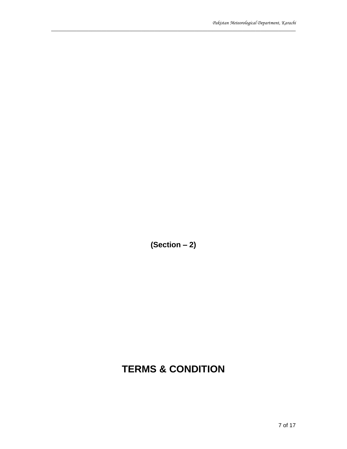**(Section – 2)** 

 $\_$  ,  $\_$  ,  $\_$  ,  $\_$  ,  $\_$  ,  $\_$  ,  $\_$  ,  $\_$  ,  $\_$  ,  $\_$  ,  $\_$  ,  $\_$  ,  $\_$  ,  $\_$  ,  $\_$  ,  $\_$  ,  $\_$  ,  $\_$  ,  $\_$  ,  $\_$  ,  $\_$  ,  $\_$  ,  $\_$  ,  $\_$  ,  $\_$  ,  $\_$  ,  $\_$  ,  $\_$  ,  $\_$  ,  $\_$  ,  $\_$  ,  $\_$  ,  $\_$  ,  $\_$  ,  $\_$  ,  $\_$  ,  $\_$  ,

# **TERMS & CONDITION**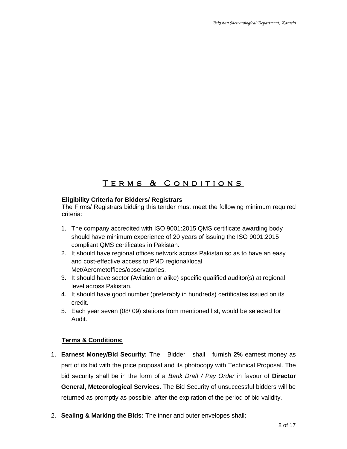### TERMS & CONDITIONS I

 $\_$  ,  $\_$  ,  $\_$  ,  $\_$  ,  $\_$  ,  $\_$  ,  $\_$  ,  $\_$  ,  $\_$  ,  $\_$  ,  $\_$  ,  $\_$  ,  $\_$  ,  $\_$  ,  $\_$  ,  $\_$  ,  $\_$  ,  $\_$  ,  $\_$  ,  $\_$  ,  $\_$  ,  $\_$  ,  $\_$  ,  $\_$  ,  $\_$  ,  $\_$  ,  $\_$  ,  $\_$  ,  $\_$  ,  $\_$  ,  $\_$  ,  $\_$  ,  $\_$  ,  $\_$  ,  $\_$  ,  $\_$  ,  $\_$  ,

#### **Eligibility Criteria for Bidders/ Registrars**

The Firms/ Registrars bidding this tender must meet the following minimum required criteria:

- 1. The company accredited with ISO 9001:2015 QMS certificate awarding body should have minimum experience of 20 years of issuing the ISO 9001:2015 compliant QMS certificates in Pakistan.
- 2. It should have regional offices network across Pakistan so as to have an easy and cost-effective access to PMD regional/local Met/Aerometoffices/observatories.
- 3. It should have sector (Aviation or alike) specific qualified auditor(s) at regional level across Pakistan.
- 4. It should have good number (preferably in hundreds) certificates issued on its credit.
- 5. Each year seven (08/ 09) stations from mentioned list, would be selected for Audit.

### **Terms & Conditions:**

- 1. **Earnest Money/Bid Security:** The Bidder shall furnish **2%** earnest money as part of its bid with the price proposal and its photocopy with Technical Proposal. The bid security shall be in the form of a *Bank Draft / Pay Order* in favour of **Director General, Meteorological Services**. The Bid Security of unsuccessful bidders will be returned as promptly as possible, after the expiration of the period of bid validity.
- 2. **Sealing & Marking the Bids:** The inner and outer envelopes shall;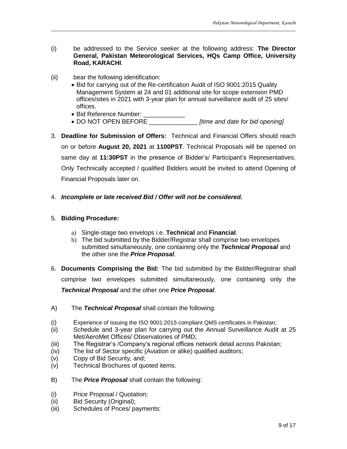(i) be addressed to the Service seeker at the following address: **The Director General, Pakistan Meteorological Services, HQs Camp Office, University Road, KARACHI**.

 $\_$  ,  $\_$  ,  $\_$  ,  $\_$  ,  $\_$  ,  $\_$  ,  $\_$  ,  $\_$  ,  $\_$  ,  $\_$  ,  $\_$  ,  $\_$  ,  $\_$  ,  $\_$  ,  $\_$  ,  $\_$  ,  $\_$  ,  $\_$  ,  $\_$  ,  $\_$  ,  $\_$  ,  $\_$  ,  $\_$  ,  $\_$  ,  $\_$  ,  $\_$  ,  $\_$  ,  $\_$  ,  $\_$  ,  $\_$  ,  $\_$  ,  $\_$  ,  $\_$  ,  $\_$  ,  $\_$  ,  $\_$  ,  $\_$  ,

- (ii) bear the following identification:
	- Bid for carrying out of the Re-certification Audit of ISO 9001:2015 Quality Management System at 24 and 01 additional site for scope extension PMD offices/sites in 2021 with 3-year plan for annual surveillance audit of 25 sites/ offices.
	- Bid Reference Number:
	- DO NOT OPEN BEFORE \_\_\_\_\_\_\_\_\_\_\_\_\_\_ *[time and date for bid opening]*
- 3. **Deadline for Submission of Offers:** Technical and Financial Offers should reach on or before **August 20, 2021** at **1100PST**. Technical Proposals will be opened on same day at **11:30PST** in the presence of Bidder's/ Participant's Representatives. Only Technically accepted / qualified Bidders would be invited to attend Opening of Financial Proposals later on.
- 4. *Incomplete or late received Bid / Offer will not be considered.*

#### 5. **Bidding Procedure:**

- a) Single-stage two envelops i.e. **Technical** and **Financial**.
- b) The bid submitted by the Bidder/Registrar shall comprise two envelopes submitted simultaneously, one containing only the *Technical Proposal* and the other one the *Price Proposal*.
- 6. **Documents Comprising the Bid:** The bid submitted by the Bidder/Registrar shall comprise two envelopes submitted simultaneously, one containing only the *Technical Proposal* and the other one *Price Proposal*.
- A) The *Technical Proposal* shall contain the following:
- (i) Experience of issuing the ISO 9001:2015 compliant QMS certificates in Pakistan;
- (ii) Schedule and 3-year plan for carrying out the Annual Surveillance Audit at 25 Met/AeroMet Offices/ Observatories of PMD;
- (iii) The Registrar's /Company's regional offices network detail across Pakistan;
- (iv) The list of Sector specific (Aviation or alike) qualified auditors;
- (v) Copy of Bid Security, and;
- (v) Technical Brochures of quoted items.
- B) The *Price Proposal* shall contain the following:
- (i) Price Proposal / Quotation;
- (ii) Bid Security (Original);
- (iii) Schedules of Prices/ payments: